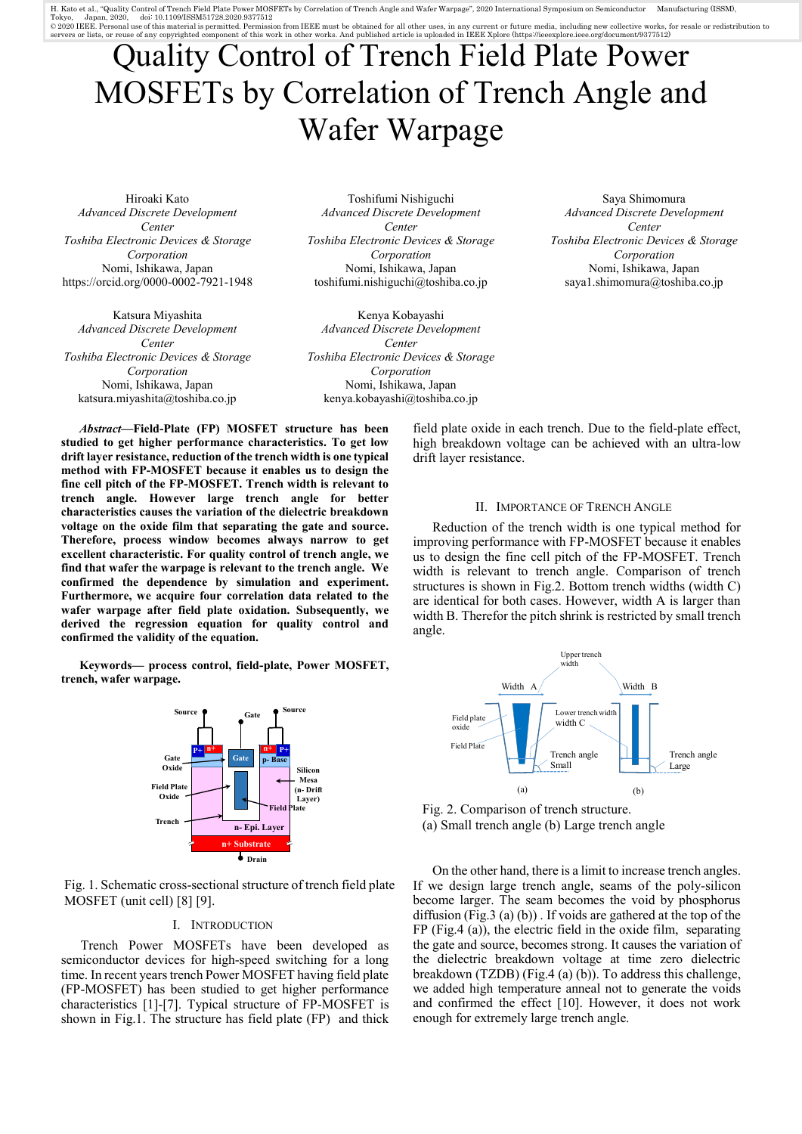H. Kato et al., "Quality Control of Trench Field Plate Power MOSFETs by Correlation of Trench Angle and Wafer Warpage", 2020 International Symposium on Semiconductor Manufacturing (ISSM), Tokyo, Japan, 2020, doi: 10.1109/ISSM51728.2020.9377512<br>© 2020 IEEE. Personal use of this material is permitted. Permission from IEEE must be obtained for all other uses, in any current or future media, including new colle

# Quality Control of Trench Field Plate Power MOSFETs by Correlation of Trench Angle and Wafer Warpage

Hiroaki Kato *Advanced Discrete Development Center Toshiba Electronic Devices & Storage Corporation* Nomi, Ishikawa, Japan https://orcid.org/0000-0002-7921-1948

Katsura Miyashita *Advanced Discrete Development Center Toshiba Electronic Devices & Storage Corporation* Nomi, Ishikawa, Japan katsura.miyashita@toshiba.co.jp

Toshifumi Nishiguchi *Advanced Discrete Development Center Toshiba Electronic Devices & Storage Corporation* Nomi, Ishikawa, Japan toshifumi.nishiguchi@toshiba.co.jp

Kenya Kobayashi *Advanced Discrete Development Center Toshiba Electronic Devices & Storage Corporation* Nomi, Ishikawa, Japan kenya.kobayashi@toshiba.co.jp

*Abstract***—Field-Plate (FP) MOSFET structure has been studied to get higher performance characteristics. To get low drift layer resistance, reduction of the trench width is one typical method with FP-MOSFET because it enables us to design the fine cell pitch of the FP-MOSFET. Trench width is relevant to trench angle. However large trench angle for better characteristics causes the variation of the dielectric breakdown voltage on the oxide film that separating the gate and source. Therefore, process window becomes always narrow to get excellent characteristic. For quality control of trench angle, we find that wafer the warpage is relevant to the trench angle. We confirmed the dependence by simulation and experiment. Furthermore, we acquire four correlation data related to the wafer warpage after field plate oxidation. Subsequently, we derived the regression equation for quality control and confirmed the validity of the equation.**

**Keywords— process control, field-plate, Power MOSFET, trench, wafer warpage.**



Fig. 1. Schematic cross-sectional structure of trench field plate MOSFET (unit cell) [8] [9].

## I. INTRODUCTION

Trench Power MOSFETs have been developed as semiconductor devices for high-speed switching for a long time. In recent years trench Power MOSFET having field plate (FP-MOSFET) has been studied to get higher performance characteristics [1]-[7]. Typical structure of FP-MOSFET is shown in Fig.1. The structure has field plate (FP) and thick

Saya Shimomura *Advanced Discrete Development Center Toshiba Electronic Devices & Storage Corporation* Nomi, Ishikawa, Japan saya1.shimomura@toshiba.co.jp

field plate oxide in each trench. Due to the field-plate effect, high breakdown voltage can be achieved with an ultra-low drift layer resistance.

#### II. IMPORTANCE OF TRENCH ANGLE

Reduction of the trench width is one typical method for improving performance with FP-MOSFET because it enables us to design the fine cell pitch of the FP-MOSFET. Trench width is relevant to trench angle. Comparison of trench structures is shown in Fig.2. Bottom trench widths (width C) are identical for both cases. However, width A is larger than width B. Therefor the pitch shrink is restricted by small trench angle.



Fig. 2. Comparison of trench structure. (a) Small trench angle (b) Large trench angle

On the other hand, there is a limit to increase trench angles. If we design large trench angle, seams of the poly-silicon become larger. The seam becomes the void by phosphorus diffusion (Fig.3 (a) (b)) . If voids are gathered at the top of the FP (Fig.4 (a)), the electric field in the oxide film, separating the gate and source, becomes strong. It causes the variation of the dielectric breakdown voltage at time zero dielectric breakdown (TZDB) (Fig.4 (a) (b)). To address this challenge, we added high temperature anneal not to generate the voids and confirmed the effect [10]. However, it does not work enough for extremely large trench angle.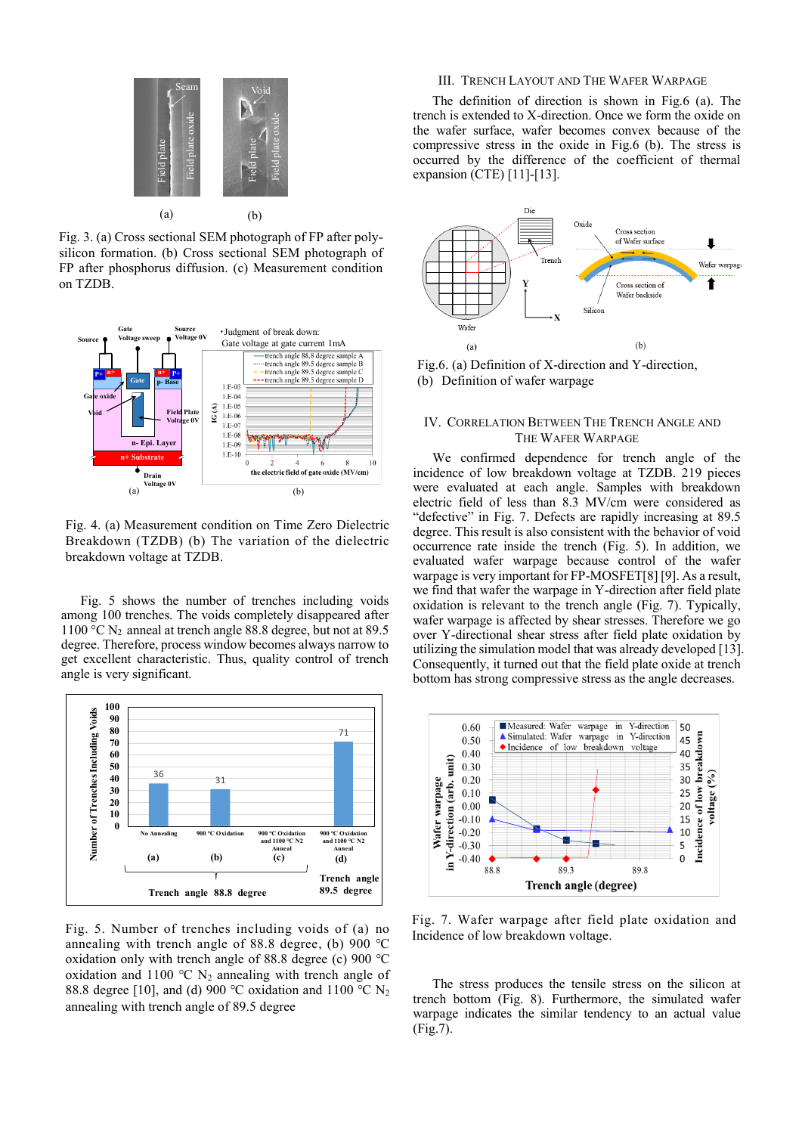

Fig. 3. (a) Cross sectional SEM photograph of FP after polysilicon formation. (b) Cross sectional SEM photograph of FP after phosphorus diffusion. (c) Measurement condition on TZDB.



Fig. 4. (a) Measurement condition on Time Zero Dielectric Breakdown (TZDB) (b) The variation of the dielectric

Fig. 5 shows the number of trenches including voids among 100 trenches. The voids completely disappeared after 1100 °C  $N_2$  anneal at trench angle 88.8 degree, but not at 89.5 degree. Therefore, process window becomes always narrow to get excellent characteristic. Thus, quality control of trench angle is very significant.



Fig. 5. Number of trenches including voids of (a) no annealing with trench angle of 88.8 degree, (b) 900 ℃ oxidation only with trench angle of 88.8 degree (c) 900 ℃ oxidation and 1100 °C  $N_2$  annealing with trench angle of 88.8 degree [10], and (d) 900 °C oxidation and 1100 °C N<sub>2</sub> annealing with trench angle of 89.5 degree

# III. TRENCH LAYOUT AND THE WAFER WARPAGE

The definition of direction is shown in Fig.6 (a). The trench is extended to X-direction. Once we form the oxide on the wafer surface, wafer becomes convex because of the compressive stress in the oxide in Fig.6 (b). The stress is occurred by the difference of the coefficient of thermal expansion (CTE) [11]-[13].



Fig.6. (a) Definition of X-direction and Y-direction, (b) Definition of wafer warpage

# IV. CORRELATION BETWEEN THE TRENCH ANGLE AND THE WAFER WARPAGE

We confirmed dependence for trench angle of the incidence of low breakdown voltage at TZDB. 219 pieces were evaluated at each angle. Samples with breakdown electric field of less than 8.3 MV/cm were considered as "defective" in Fig. 7. Defects are rapidly increasing at 89.5 degree. This result is also consistent with the behavior of void occurrence rate inside the trench (Fig. 5). In addition, we evaluated wafer warpage because control of the wafer warpage is very important for FP-MOSFET[8] [9]. As a result, we find that wafer the warpage in Y-direction after field plate oxidation is relevant to the trench angle (Fig. 7). Typically, wafer warpage is affected by shear stresses. Therefore we go over Y-directional shear stress after field plate oxidation by utilizing the simulation model that was already developed [13]. Consequently, it turned out that the field plate oxide at trench bottom has strong compressive stress as the angle decreases.



Fig. 7. Wafer warpage after field plate oxidation and Incidence of low breakdown voltage.

The stress produces the tensile stress on the silicon at trench bottom (Fig. 8). Furthermore, the simulated wafer warpage indicates the similar tendency to an actual value (Fig.7).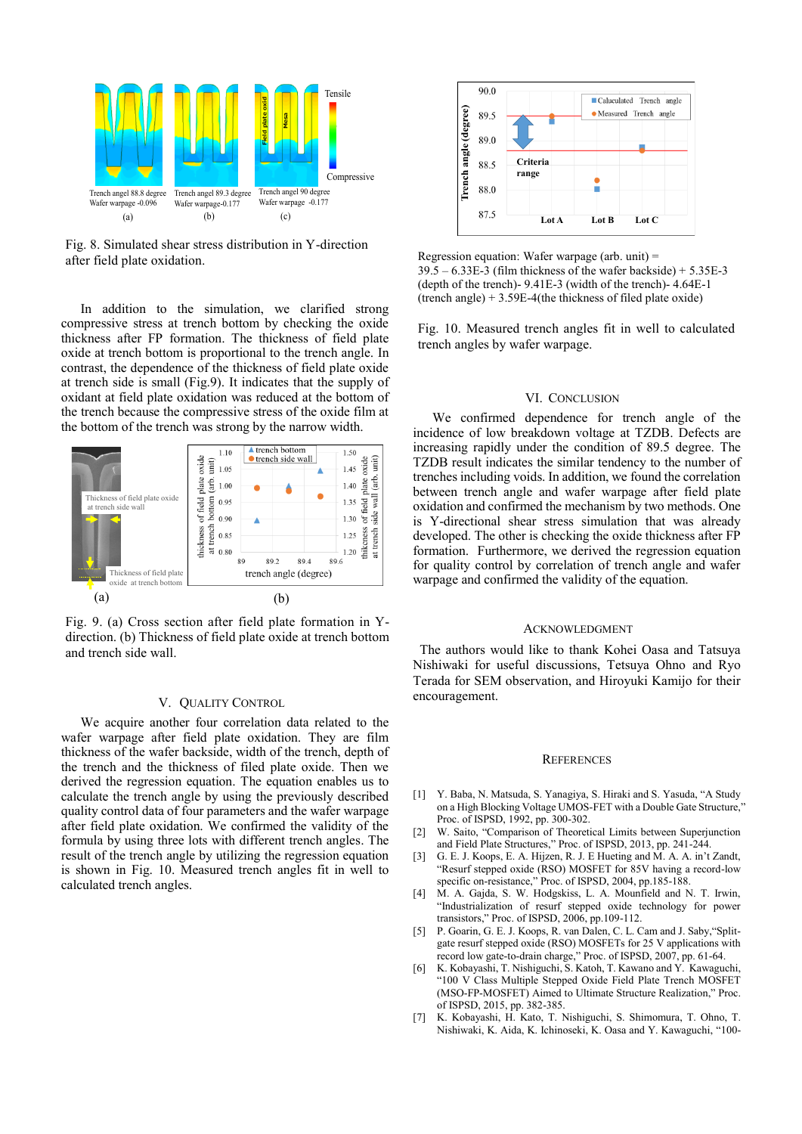

Fig. 8. Simulated shear stress distribution in Y-direction

In addition to the simulation, we clarified strong compressive stress at trench bottom by checking the oxide thickness after FP formation. The thickness of field plate oxide at trench bottom is proportional to the trench angle. In contrast, the dependence of the thickness of field plate oxide at trench side is small (Fig.9). It indicates that the supply of oxidant at field plate oxidation was reduced at the bottom of the trench because the compressive stress of the oxide film at the bottom of the trench was strong by the narrow width.



Fig. 9. (a) Cross section after field plate formation in Ydirection. (b) Thickness of field plate oxide at trench bottom and trench side wall.

#### V. QUALITY CONTROL

We acquire another four correlation data related to the wafer warpage after field plate oxidation. They are film thickness of the wafer backside, width of the trench, depth of the trench and the thickness of filed plate oxide. Then we derived the regression equation. The equation enables us to calculate the trench angle by using the previously described quality control data of four parameters and the wafer warpage after field plate oxidation. We confirmed the validity of the formula by using three lots with different trench angles. The result of the trench angle by utilizing the regression equation is shown in Fig. 10. Measured trench angles fit in well to calculated trench angles.



Regression equation: Wafer warpage (arb. unit) =  $39.5 - 6.33E-3$  (film thickness of the wafer backside) +  $5.35E-3$ (depth of the trench)- 9.41E-3 (width of the trench)- 4.64E-1 (trench angle) + 3.59E-4(the thickness of filed plate oxide)

Fig. 10. Measured trench angles fit in well to calculated trench angles by wafer warpage.

#### VI. CONCLUSION

We confirmed dependence for trench angle of the incidence of low breakdown voltage at TZDB. Defects are increasing rapidly under the condition of 89.5 degree. The TZDB result indicates the similar tendency to the number of trenches including voids. In addition, we found the correlation between trench angle and wafer warpage after field plate oxidation and confirmed the mechanism by two methods. One is Y-directional shear stress simulation that was already developed. The other is checking the oxide thickness after FP formation. Furthermore, we derived the regression equation for quality control by correlation of trench angle and wafer warpage and confirmed the validity of the equation.

## **ACKNOWLEDGMENT**

The authors would like to thank Kohei Oasa and Tatsuya Nishiwaki for useful discussions, Tetsuya Ohno and Ryo Terada for SEM observation, and Hiroyuki Kamijo for their encouragement.

#### **REFERENCES**

- [1] Y. Baba, N. Matsuda, S. Yanagiya, S. Hiraki and S. Yasuda, "A Study on a High Blocking Voltage UMOS-FET with a Double Gate Structure," Proc. of ISPSD, 1992, pp. 300-302.
- [2] W. Saito, "Comparison of Theoretical Limits between Superjunction and Field Plate Structures," Proc. of ISPSD, 2013, pp. 241-244.
- [3] G. E. J. Koops, E. A. Hijzen, R. J. E Hueting and M. A. A. in't Zandt, "Resurf stepped oxide (RSO) MOSFET for 85V having a record-low specific on-resistance," Proc. of ISPSD, 2004, pp.185-188.
- [4] M. A. Gajda, S. W. Hodgskiss, L. A. Mounfield and N. T. Irwin, "Industrialization of resurf stepped oxide technology for power transistors," Proc. of ISPSD, 2006, pp.109-112.
- [5] P. Goarin, G. E. J. Koops, R. van Dalen, C. L. Cam and J. Saby, "Splitgate resurf stepped oxide (RSO) MOSFETs for 25 V applications with record low gate-to-drain charge," Proc. of ISPSD, 2007, pp. 61-64.
- [6] K. Kobayashi, T. Nishiguchi, S. Katoh, T. Kawano and Y. Kawaguchi, "100 V Class Multiple Stepped Oxide Field Plate Trench MOSFET (MSO-FP-MOSFET) Aimed to Ultimate Structure Realization," Proc. of ISPSD, 2015, pp. 382-385.
- [7] K. Kobayashi, H. Kato, T. Nishiguchi, S. Shimomura, T. Ohno, T. Nishiwaki, K. Aida, K. Ichinoseki, K. Oasa and Y. Kawaguchi, "100-